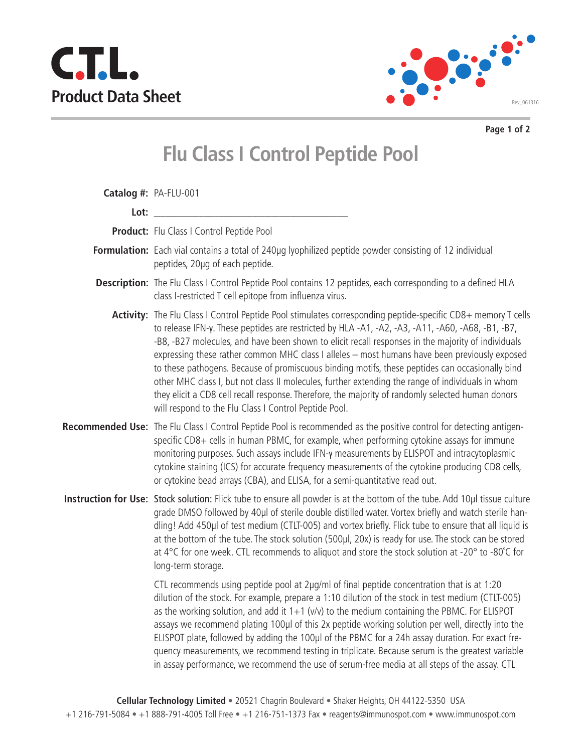



**Page 1 of 2**

## **Flu Class I Control Peptide Pool**

|      | Catalog #: PA-FLU-001                                                                                                                                                                                                                                                                                                                                                                                                                                                                                                                                                                                                                                                                                                                                                                          |
|------|------------------------------------------------------------------------------------------------------------------------------------------------------------------------------------------------------------------------------------------------------------------------------------------------------------------------------------------------------------------------------------------------------------------------------------------------------------------------------------------------------------------------------------------------------------------------------------------------------------------------------------------------------------------------------------------------------------------------------------------------------------------------------------------------|
| Lot: |                                                                                                                                                                                                                                                                                                                                                                                                                                                                                                                                                                                                                                                                                                                                                                                                |
|      | Product: Flu Class I Control Peptide Pool                                                                                                                                                                                                                                                                                                                                                                                                                                                                                                                                                                                                                                                                                                                                                      |
|      | Formulation: Each vial contains a total of 240µg lyophilized peptide powder consisting of 12 individual<br>peptides, 20µg of each peptide.                                                                                                                                                                                                                                                                                                                                                                                                                                                                                                                                                                                                                                                     |
|      | Description: The Flu Class I Control Peptide Pool contains 12 peptides, each corresponding to a defined HLA<br>class I-restricted T cell epitope from influenza virus.                                                                                                                                                                                                                                                                                                                                                                                                                                                                                                                                                                                                                         |
|      | Activity: The Flu Class I Control Peptide Pool stimulates corresponding peptide-specific CD8+ memory T cells<br>to release IFN-y. These peptides are restricted by HLA -A1, -A2, -A3, -A11, -A60, -A68, -B1, -B7,<br>-B8, -B27 molecules, and have been shown to elicit recall responses in the majority of individuals<br>expressing these rather common MHC class I alleles - most humans have been previously exposed<br>to these pathogens. Because of promiscuous binding motifs, these peptides can occasionally bind<br>other MHC class I, but not class II molecules, further extending the range of individuals in whom<br>they elicit a CD8 cell recall response. Therefore, the majority of randomly selected human donors<br>will respond to the Flu Class I Control Peptide Pool. |
|      | Recommended Use: The Flu Class I Control Peptide Pool is recommended as the positive control for detecting antigen-<br>specific CD8+ cells in human PBMC, for example, when performing cytokine assays for immune<br>monitoring purposes. Such assays include IFN-y measurements by ELISPOT and intracytoplasmic<br>cytokine staining (ICS) for accurate frequency measurements of the cytokine producing CD8 cells,<br>or cytokine bead arrays (CBA), and ELISA, for a semi-quantitative read out.                                                                                                                                                                                                                                                                                            |
|      | Instruction for Use: Stock solution: Flick tube to ensure all powder is at the bottom of the tube. Add 10µl tissue culture<br>grade DMSO followed by 40µl of sterile double distilled water. Vortex briefly and watch sterile han-<br>dling! Add 450µl of test medium (CTLT-005) and vortex briefly. Flick tube to ensure that all liquid is<br>at the bottom of the tube. The stock solution (500µl, 20x) is ready for use. The stock can be stored<br>at 4°C for one week. CTL recommends to aliquot and store the stock solution at -20° to -80°C for<br>long-term storage.                                                                                                                                                                                                                 |
|      | CTL recommends using peptide pool at 2µg/ml of final peptide concentration that is at 1:20<br>dilution of the stock. For example, prepare a 1:10 dilution of the stock in test medium (CTLT-005)<br>as the working solution, and add it $1+1$ ( $v/v$ ) to the medium containing the PBMC. For ELISPOT<br>assays we recommend plating 100µl of this 2x peptide working solution per well, directly into the<br>ELISPOT plate, followed by adding the 100µl of the PBMC for a 24h assay duration. For exact fre-<br>quency measurements, we recommend testing in triplicate. Because serum is the greatest variable<br>in assay performance, we recommend the use of serum-free media at all steps of the assay. CTL                                                                            |